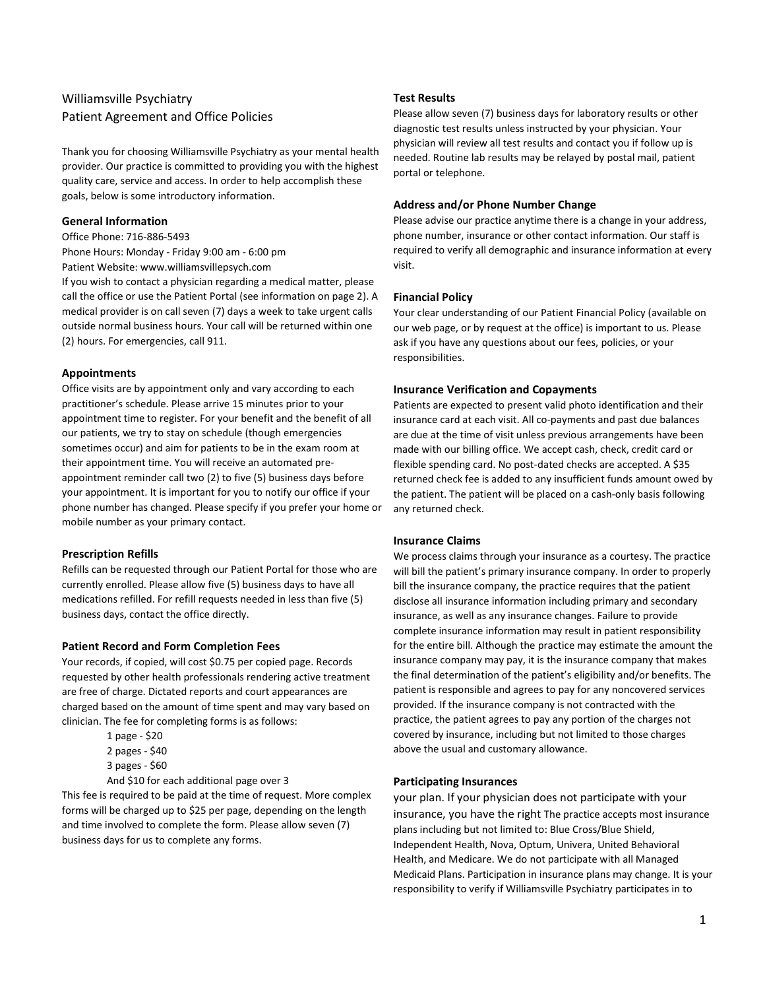# Williamsville Psychiatry Patient Agreement and Office Policies

Thank you for choosing Williamsville Psychiatry as your mental health provider. Our practice is committed to providing you with the highest quality care, service and access. In order to help accomplish these goals, below is some introductory information.

### General Information

Office Phone: 716-886-5493

Phone Hours: Monday - Friday 9:00 am - 6:00 pm Patient Website: www.williamsvillepsych.com

If you wish to contact a physician regarding a medical matter, please call the office or use the Patient Portal (see information on page 2). A medical provider is on call seven (7) days a week to take urgent calls outside normal business hours. Your call will be returned within one (2) hours. For emergencies, call 911.

### Appointments

Office visits are by appointment only and vary according to each practitioner's schedule. Please arrive 15 minutes prior to your appointment time to register. For your benefit and the benefit of all our patients, we try to stay on schedule (though emergencies sometimes occur) and aim for patients to be in the exam room at their appointment time. You will receive an automated preappointment reminder call two (2) to five (5) business days before your appointment. It is important for you to notify our office if your phone number has changed. Please specify if you prefer your home or mobile number as your primary contact.

# Prescription Refills

Refills can be requested through our Patient Portal for those who are currently enrolled. Please allow five (5) business days to have all medications refilled. For refill requests needed in less than five (5) business days, contact the office directly.

# Patient Record and Form Completion Fees

Your records, if copied, will cost \$0.75 per copied page. Records requested by other health professionals rendering active treatment are free of charge. Dictated reports and court appearances are charged based on the amount of time spent and may vary based on clinician. The fee for completing forms is as follows:

- 1 page \$20
- 2 pages \$40
- 3 pages \$60

And \$10 for each additional page over 3 This fee is required to be paid at the time of request. More complex forms will be charged up to \$25 per page, depending on the length and time involved to complete the form. Please allow seven (7) business days for us to complete any forms.

### Test Results

Please allow seven (7) business days for laboratory results or other diagnostic test results unless instructed by your physician. Your physician will review all test results and contact you if follow up is needed. Routine lab results may be relayed by postal mail, patient portal or telephone.

### Address and/or Phone Number Change

Please advise our practice anytime there is a change in your address, phone number, insurance or other contact information. Our staff is required to verify all demographic and insurance information at every visit.

# Financial Policy

Your clear understanding of our Patient Financial Policy (available on our web page, or by request at the office) is important to us. Please ask if you have any questions about our fees, policies, or your responsibilities.

# Insurance Verification and Copayments

Patients are expected to present valid photo identification and their insurance card at each visit. All co-payments and past due balances are due at the time of visit unless previous arrangements have been made with our billing office. We accept cash, check, credit card or flexible spending card. No post-dated checks are accepted. A \$35 returned check fee is added to any insufficient funds amount owed by the patient. The patient will be placed on a cash-only basis following any returned check.

# Insurance Claims

We process claims through your insurance as a courtesy. The practice will bill the patient's primary insurance company. In order to properly bill the insurance company, the practice requires that the patient disclose all insurance information including primary and secondary insurance, as well as any insurance changes. Failure to provide complete insurance information may result in patient responsibility for the entire bill. Although the practice may estimate the amount the insurance company may pay, it is the insurance company that makes the final determination of the patient's eligibility and/or benefits. The patient is responsible and agrees to pay for any noncovered services provided. If the insurance company is not contracted with the practice, the patient agrees to pay any portion of the charges not covered by insurance, including but not limited to those charges above the usual and customary allowance.

# Participating Insurances

your plan. If your physician does not participate with your insurance, you have the right The practice accepts most insurance plans including but not limited to: Blue Cross/Blue Shield, Independent Health, Nova, Optum, Univera, United Behavioral Health, and Medicare. We do not participate with all Managed Medicaid Plans. Participation in insurance plans may change. It is your responsibility to verify if Williamsville Psychiatry participates in to